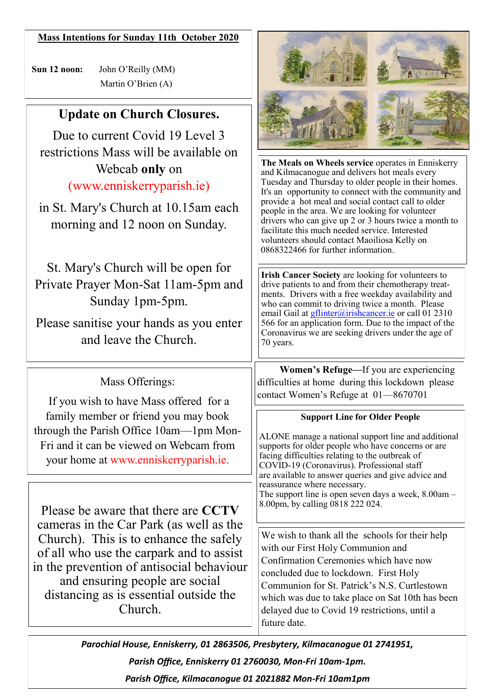#### **Mass Intentions for Sunday 11th October 2020**

 **Sun 12 noon:** John O'Reilly (MM) Martin O'Brien (A)

# **Update on Church Closures.**

Due to current Covid 19 Level 3 restrictions Mass will be available on Webcab **only** on (www.enniskerryparish.ie)

in St. Mary's Church at 10.15am each morning and 12 noon on Sunday.

St. Mary's Church will be open for Private Prayer Mon-Sat 11am-5pm and Sunday 1pm-5pm.

Please sanitise your hands as you enter and leave the Church.

## Mass Offerings:

If you wish to have Mass offered for a family member or friend you may book through the Parish Office 10am—1pm Mon-Fri and it can be viewed on Webcam from your home at www.enniskerryparish.ie.

Please be aware that there are **CCTV** cameras in the Car Park (as well as the Church). This is to enhance the safely of all who use the carpark and to assist in the prevention of antisocial behaviour and ensuring people are social distancing as is essential outside the Church.



**The Meals on Wheels service** operates in Enniskerry and Kilmacanogue and delivers hot meals every Tuesday and Thursday to older people in their homes. It's an opportunity to connect with the community and provide a hot meal and social contact call to older people in the area. We are looking for volunteer drivers who can give up 2 or 3 hours twice a month to facilitate this much needed service. Interested volunteers should contact Maoiliosa Kelly on 0868322466 for further information.

**Irish Cancer Society** are looking for volunteers to drive patients to and from their chemotherapy treatments. Drivers with a free weekday availability and who can commit to driving twice a month. Please email Gail at *gflinter@irishcancer.ie* or call 01 2310 566 for an application form. Due to the impact of the Coronavirus we are seeking drivers under the age of 70 years.

 **Women's Refuge—**If you are experiencing difficulties at home during this lockdown please contact Women's Refuge at 01—8670701

#### **Support Line for Older People**

ALONE manage a national support line and additional supports for older people who have concerns or are facing difficulties relating to the outbreak of COVID-19 (Coronavirus). Professional staff are available to answer queries and give advice and reassurance where necessary. The support line is open seven days a week,  $8.00 \text{am} -$ 8.00pm, by calling 0818 222 024.

We wish to thank all the schools for their help with our First Holy Communion and Confirmation Ceremonies which have now concluded due to lockdown. First Holy Communion for St. Patrick's N.S. Curtlestown which was due to take place on Sat 10th has been delayed due to Covid 19 restrictions, until a future date.

*Parochial House, Enniskerry, 01 2863506, Presbytery, Kilmacanogue 01 2741951, Parish Office, Enniskerry 01 2760030, Mon-Fri 10am-1pm.* 

*Parish Office, Kilmacanogue 01 2021882 Mon-Fri 10am1pm*